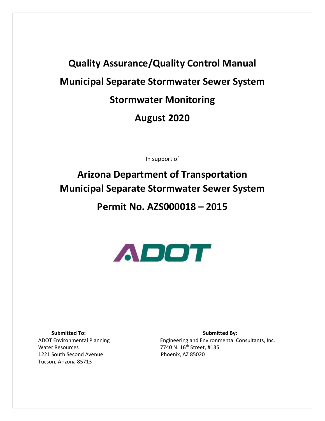# **Quality Assurance/Quality Control Manual Municipal Separate Stormwater Sewer System Stormwater Monitoring August 2020**

In support of

## **Arizona Department of Transportation Municipal Separate Stormwater Sewer System**

## **Permit No. AZS000018 – 2015**



Water Resources 7740 N. 16<sup>th</sup> Street, #135 1221 South Second Avenue Phoenix, AZ 85020 Tucson, Arizona 85713

**Submitted To:** Submitted By: ADOT Environmental Planning **Engineering and Environmental Consultants**, Inc.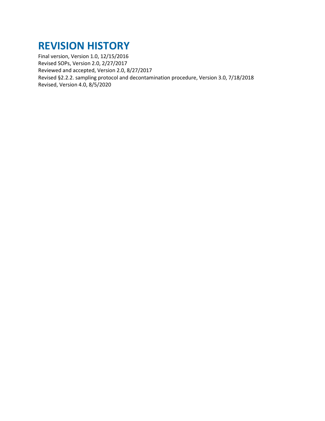## **REVISION HISTORY**

Final version, Version 1.0, 12/15/2016 Revised SOPs, Version 2.0, 2/27/2017 Reviewed and accepted, Version 2.0, 8/27/2017 Revised §2.2.2. sampling protocol and decontamination procedure, Version 3.0, 7/18/2018 Revised, Version 4.0, 8/5/2020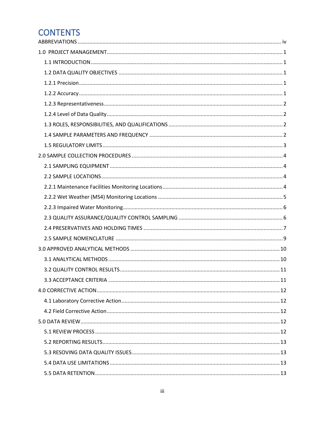## **CONTENTS**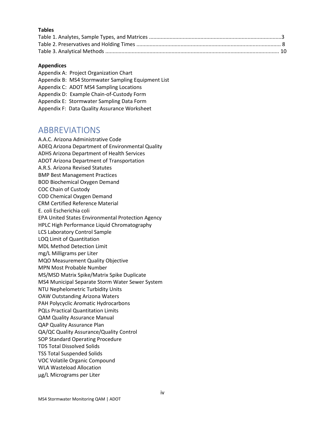#### **Tables**

#### **Appendices**

Appendix A: Project Organization Chart Appendix B: MS4 Stormwater Sampling Equipment List Appendix C: ADOT MS4 Sampling Locations Appendix D: Example Chain-of-Custody Form Appendix E: Stormwater Sampling Data Form Appendix F: Data Quality Assurance Worksheet

## <span id="page-3-0"></span>ABBREVIATIONS

A.A.C. Arizona Administrative Code ADEQ Arizona Department of Environmental Quality ADHS Arizona Department of Health Services ADOT Arizona Department of Transportation A.R.S. Arizona Revised Statutes BMP Best Management Practices BOD Biochemical Oxygen Demand COC Chain of Custody COD Chemical Oxygen Demand CRM Certified Reference Material E. coli Escherichia coli EPA United States Environmental Protection Agency HPLC High Performance Liquid Chromatography LCS Laboratory Control Sample LOQ Limit of Quantitation MDL Method Detection Limit mg/L Milligrams per Liter MQO Measurement Quality Objective MPN Most Probable Number MS/MSD Matrix Spike/Matrix Spike Duplicate MS4 Municipal Separate Storm Water Sewer System NTU Nephelometric Turbidity Units OAW Outstanding Arizona Waters PAH Polycyclic Aromatic Hydrocarbons PQLs Practical Quantitation Limits QAM Quality Assurance Manual QAP Quality Assurance Plan QA/QC Quality Assurance/Quality Control SOP Standard Operating Procedure TDS Total Dissolved Solids TSS Total Suspended Solids VOC Volatile Organic Compound WLA Wasteload Allocation μg/L Micrograms per Liter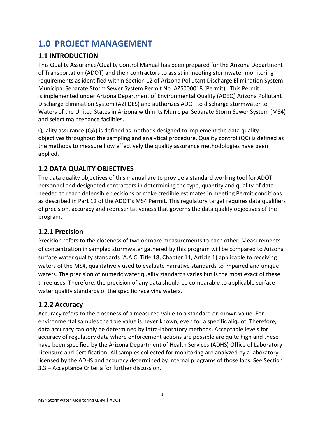## <span id="page-4-0"></span>**1.0 PROJECT MANAGEMENT**

## <span id="page-4-1"></span>**1.1 INTRODUCTION**

This Quality Assurance/Quality Control Manual has been prepared for the Arizona Department of Transportation (ADOT) and their contractors to assist in meeting stormwater monitoring requirements as identified within Section 12 of Arizona Pollutant Discharge Elimination System Municipal Separate Storm Sewer System Permit No. AZS000018 (Permit). This Permit is implemented under Arizona Department of Environmental Quality (ADEQ) Arizona Pollutant Discharge Elimination System (AZPDES) and authorizes ADOT to discharge stormwater to Waters of the United States in Arizona within its Municipal Separate Storm Sewer System (MS4) and select maintenance facilities.

Quality assurance (QA) is defined as methods designed to implement the data quality objectives throughout the sampling and analytical procedure. Quality control (QC) is defined as the methods to measure how effectively the quality assurance methodologies have been applied.

## <span id="page-4-2"></span>**1.2 DATA QUALITY OBJECTIVES**

The data quality objectives of this manual are to provide a standard working tool for ADOT personnel and designated contractors in determining the type, quantity and quality of data needed to reach defensible decisions or make credible estimates in meeting Permit conditions as described in Part 12 of the ADOT's MS4 Permit. This regulatory target requires data qualifiers of precision, accuracy and representativeness that governs the data quality objectives of the program.

## <span id="page-4-3"></span>**1.2.1 Precision**

Precision refers to the closeness of two or more measurements to each other. Measurements of concentration in sampled stormwater gathered by this program will be compared to Arizona surface water quality standards (A.A.C. Title 18, Chapter 11, Article 1) applicable to receiving waters of the MS4, qualitatively used to evaluate narrative standards to impaired and unique waters. The precision of numeric water quality standards varies but is the most exact of these three uses. Therefore, the precision of any data should be comparable to applicable surface water quality standards of the specific receiving waters.

## <span id="page-4-4"></span>**1.2.2 Accuracy**

Accuracy refers to the closeness of a measured value to a standard or known value. For environmental samples the true value is never known, even for a specific aliquot. Therefore, data accuracy can only be determined by intra-laboratory methods. Acceptable levels for accuracy of regulatory data where enforcement actions are possible are quite high and these have been specified by the Arizona Department of Health Services (ADHS) Office of Laboratory Licensure and Certification. All samples collected for monitoring are analyzed by a laboratory licensed by the ADHS and accuracy determined by internal programs of those labs. See Section 3.3 – Acceptance Criteria for further discussion.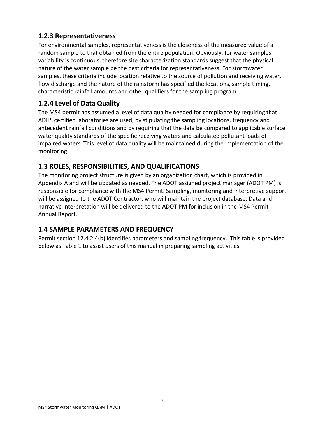## <span id="page-5-0"></span>**1.2.3 Representativeness**

For environmental samples, representativeness is the closeness of the measured value of a random sample to that obtained from the entire population. Obviously, for water samples variability is continuous, therefore site characterization standards suggest that the physical nature of the water sample be the best criteria for representativeness. For stormwater samples, these criteria include location relative to the source of pollution and receiving water, flow discharge and the nature of the rainstorm has specified the locations, sample timing, characteristic rainfall amounts and other qualifiers for the sampling program.

## <span id="page-5-1"></span>**1.2.4 Level of Data Quality**

The MS4 permit has assumed a level of data quality needed for compliance by requiring that ADHS certified laboratories are used, by stipulating the sampling locations, frequency and antecedent rainfall conditions and by requiring that the data be compared to applicable surface water quality standards of the specific receiving waters and calculated pollutant loads of impaired waters. This level of data quality will be maintained during the implementation of the monitoring.

## <span id="page-5-2"></span>**1.3 ROLES, RESPONSIBILITIES, AND QUALIFICATIONS**

The monitoring project structure is given by an organization chart, which is provided in Appendix A and will be updated as needed. The ADOT assigned project manager (ADOT PM) is responsible for compliance with the MS4 Permit. Sampling, monitoring and interpretive support will be assigned to the ADOT Contractor, who will maintain the project database. Data and narrative interpretation will be delivered to the ADOT PM for inclusion in the MS4 Permit Annual Report.

## <span id="page-5-3"></span>**1.4 SAMPLE PARAMETERS AND FREQUENCY**

Permit section 12.4.2.4(b) identifies parameters and sampling frequency. This table is provided below as Table 1 to assist users of this manual in preparing sampling activities.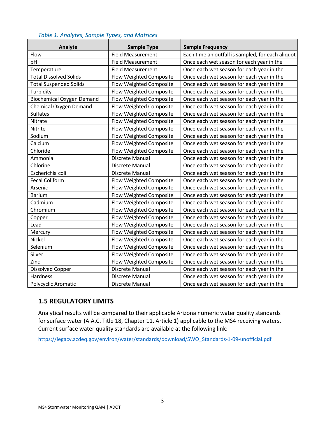| Analyte                          | <b>Sample Type</b>       | <b>Sample Frequency</b>                           |  |  |  |  |  |  |
|----------------------------------|--------------------------|---------------------------------------------------|--|--|--|--|--|--|
| Flow                             | <b>Field Measurement</b> | Each time an outfall is sampled, for each aliquot |  |  |  |  |  |  |
| pH                               | <b>Field Measurement</b> | Once each wet season for each year in the         |  |  |  |  |  |  |
| Temperature                      | <b>Field Measurement</b> | Once each wet season for each year in the         |  |  |  |  |  |  |
| <b>Total Dissolved Solids</b>    | Flow Weighted Composite  | Once each wet season for each year in the         |  |  |  |  |  |  |
| <b>Total Suspended Solids</b>    | Flow Weighted Composite  | Once each wet season for each year in the         |  |  |  |  |  |  |
| Turbidity                        | Flow Weighted Composite  | Once each wet season for each year in the         |  |  |  |  |  |  |
| <b>Biochemical Oxygen Demand</b> | Flow Weighted Composite  | Once each wet season for each year in the         |  |  |  |  |  |  |
| <b>Chemical Oxygen Demand</b>    | Flow Weighted Composite  | Once each wet season for each year in the         |  |  |  |  |  |  |
| <b>Sulfates</b>                  | Flow Weighted Composite  | Once each wet season for each year in the         |  |  |  |  |  |  |
| Nitrate                          | Flow Weighted Composite  | Once each wet season for each year in the         |  |  |  |  |  |  |
| Nitrite                          | Flow Weighted Composite  | Once each wet season for each year in the         |  |  |  |  |  |  |
| Sodium                           | Flow Weighted Composite  | Once each wet season for each year in the         |  |  |  |  |  |  |
| Calcium                          | Flow Weighted Composite  | Once each wet season for each year in the         |  |  |  |  |  |  |
| Chloride                         | Flow Weighted Composite  | Once each wet season for each year in the         |  |  |  |  |  |  |
| Ammonia                          | Discrete Manual          | Once each wet season for each year in the         |  |  |  |  |  |  |
| Chlorine                         | Discrete Manual          | Once each wet season for each year in the         |  |  |  |  |  |  |
| Escherichia coli                 | Discrete Manual          | Once each wet season for each year in the         |  |  |  |  |  |  |
| <b>Fecal Coliform</b>            | Flow Weighted Composite  | Once each wet season for each year in the         |  |  |  |  |  |  |
| Arsenic                          | Flow Weighted Composite  | Once each wet season for each year in the         |  |  |  |  |  |  |
| <b>Barium</b>                    | Flow Weighted Composite  | Once each wet season for each year in the         |  |  |  |  |  |  |
| Cadmium                          | Flow Weighted Composite  | Once each wet season for each year in the         |  |  |  |  |  |  |
| Chromium                         | Flow Weighted Composite  | Once each wet season for each year in the         |  |  |  |  |  |  |
| Copper                           | Flow Weighted Composite  | Once each wet season for each year in the         |  |  |  |  |  |  |
| Lead                             | Flow Weighted Composite  | Once each wet season for each year in the         |  |  |  |  |  |  |
| Mercury                          | Flow Weighted Composite  | Once each wet season for each year in the         |  |  |  |  |  |  |
| Nickel                           | Flow Weighted Composite  | Once each wet season for each year in the         |  |  |  |  |  |  |
| Selenium                         | Flow Weighted Composite  | Once each wet season for each year in the         |  |  |  |  |  |  |
| Silver                           | Flow Weighted Composite  | Once each wet season for each year in the         |  |  |  |  |  |  |
| Zinc                             | Flow Weighted Composite  | Once each wet season for each year in the         |  |  |  |  |  |  |
| <b>Dissolved Copper</b>          | Discrete Manual          | Once each wet season for each year in the         |  |  |  |  |  |  |
| Hardness                         | Discrete Manual          | Once each wet season for each year in the         |  |  |  |  |  |  |
| Polycyclic Aromatic              | Discrete Manual          | Once each wet season for each year in the         |  |  |  |  |  |  |

#### *Table 1. Analytes, Sample Types, and Matrices*

### <span id="page-6-0"></span>**1.5 REGULATORY LIMITS**

Analytical results will be compared to their applicable Arizona numeric water quality standards for surface water (A.A.C. Title 18, Chapter 11, Article 1) applicable to the MS4 receiving waters. Current surface water quality standards are available at the following link:

[https://legacy.azdeq.gov/environ/water/standards/download/SWQ\\_Standards-1-09-unofficial.pdf](https://legacy.azdeq.gov/environ/water/standards/download/SWQ_Standards-1-09-unofficial.pdf)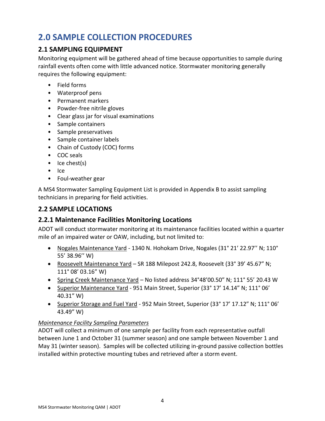## <span id="page-7-0"></span>**2.0 SAMPLE COLLECTION PROCEDURES**

## <span id="page-7-1"></span>**2.1 SAMPLING EQUIPMENT**

Monitoring equipment will be gathered ahead of time because opportunities to sample during rainfall events often come with little advanced notice. Stormwater monitoring generally requires the following equipment:

- Field forms
- Waterproof pens
- Permanent markers
- Powder-free nitrile gloves
- Clear glass jar for visual examinations
- Sample containers
- Sample preservatives
- Sample container labels
- Chain of Custody (COC) forms
- COC seals
- Ice chest(s)
- Ice
- Foul-weather gear

A MS4 Stormwater Sampling Equipment List is provided in Appendix B to assist sampling technicians in preparing for field activities.

### <span id="page-7-2"></span>**2.2 SAMPLE LOCATIONS**

### <span id="page-7-3"></span>**2.2.1 Maintenance Facilities Monitoring Locations**

ADOT will conduct stormwater monitoring at its maintenance facilities located within a quarter mile of an impaired water or OAW, including, but not limited to:

- Nogales Maintenance Yard 1340 N. Hohokam Drive, Nogales (31° 21' 22.97'' N; 110° 55' 38.96'' W)
- Roosevelt Maintenance Yard SR 188 Milepost 242.8, Roosevelt (33° 39' 45.67" N; 111° 08' 03.16" W)
- Spring Creek Maintenance Yard No listed address 34°48'00.50" N; 111° 55' 20.43 W
- Superior Maintenance Yard 951 Main Street, Superior (33° 17' 14.14" N; 111° 06' 40.31" W)
- Superior Storage and Fuel Yard 952 Main Street, Superior (33° 17' 17.12" N; 111° 06' 43.49" W)

#### *Maintenance Facility Sampling Parameters*

ADOT will collect a minimum of one sample per facility from each representative outfall between June 1 and October 31 (summer season) and one sample between November 1 and May 31 (winter season). Samples will be collected utilizing in-ground passive collection bottles installed within protective mounting tubes and retrieved after a storm event.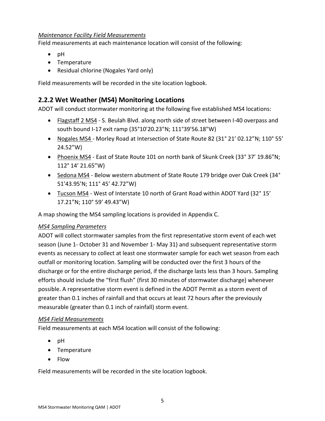#### *Maintenance Facility Field Measurements*

Field measurements at each maintenance location will consist of the following:

- pH
- Temperature
- Residual chlorine (Nogales Yard only)

Field measurements will be recorded in the site location logbook.

## <span id="page-8-0"></span>**2.2.2 Wet Weather (MS4) Monitoring Locations**

ADOT will conduct stormwater monitoring at the following five established MS4 locations:

- Flagstaff 2 MS4 S. Beulah Blvd. along north side of street between I-40 overpass and south bound I-17 exit ramp (35°10'20.23"N; 111°39'56.18"W)
- Nogales MS4 Morley Road at Intersection of State Route 82 (31° 21' 02.12"N; 110° 55' 24.52"W)
- Phoenix MS4 East of State Route 101 on north bank of Skunk Creek (33° 37' 19.86"N; 112° 14' 21.65"W)
- Sedona MS4 Below western abutment of State Route 179 bridge over Oak Creek (34° 51'43.95'N; 111° 45' 42.72"W)
- Tucson MS4 West of Interstate 10 north of Grant Road within ADOT Yard (32° 15' 17.21"N; 110° 59' 49.43"W)

A map showing the MS4 sampling locations is provided in Appendix C.

#### *MS4 Sampling Parameters*

ADOT will collect stormwater samples from the first representative storm event of each wet season (June 1- October 31 and November 1- May 31) and subsequent representative storm events as necessary to collect at least one stormwater sample for each wet season from each outfall or monitoring location. Sampling will be conducted over the first 3 hours of the discharge or for the entire discharge period, if the discharge lasts less than 3 hours. Sampling efforts should include the "first flush" (first 30 minutes of stormwater discharge) whenever possible. A representative storm event is defined in the ADOT Permit as a storm event of greater than 0.1 inches of rainfall and that occurs at least 72 hours after the previously measurable (greater than 0.1 inch of rainfall) storm event.

#### *MS4 Field Measurements*

Field measurements at each MS4 location will consist of the following:

- pH
- Temperature
- Flow

Field measurements will be recorded in the site location logbook.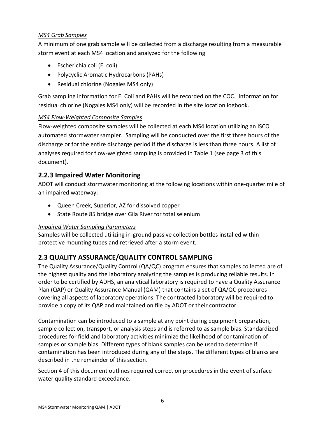### *MS4 Grab Samples*

A minimum of one grab sample will be collected from a discharge resulting from a measurable storm event at each MS4 location and analyzed for the following

- Escherichia coli (E. coli)
- Polycyclic Aromatic Hydrocarbons (PAHs)
- Residual chlorine (Nogales MS4 only)

Grab sampling information for E. Coli and PAHs will be recorded on the COC. Information for residual chlorine (Nogales MS4 only) will be recorded in the site location logbook.

### *MS4 Flow-Weighted Composite Samples*

Flow-weighted composite samples will be collected at each MS4 location utilizing an ISCO automated stormwater sampler. Sampling will be conducted over the first three hours of the discharge or for the entire discharge period if the discharge is less than three hours. A list of analyses required for flow-weighted sampling is provided in Table 1 (see page 3 of this document).

## <span id="page-9-0"></span>**2.2.3 Impaired Water Monitoring**

ADOT will conduct stormwater monitoring at the following locations within one-quarter mile of an impaired waterway:

- Queen Creek, Superior, AZ for dissolved copper
- State Route 85 bridge over Gila River for total selenium

### *Impaired Water Sampling Parameters*

Samples will be collected utilizing in-ground passive collection bottles installed within protective mounting tubes and retrieved after a storm event.

## <span id="page-9-1"></span>**2.3 QUALITY ASSURANCE/QUALITY CONTROL SAMPLING**

The Quality Assurance/Quality Control (QA/QC) program ensures that samples collected are of the highest quality and the laboratory analyzing the samples is producing reliable results. In order to be certified by ADHS, an analytical laboratory is required to have a Quality Assurance Plan (QAP) or Quality Assurance Manual (QAM) that contains a set of QA/QC procedures covering all aspects of laboratory operations. The contracted laboratory will be required to provide a copy of its QAP and maintained on file by ADOT or their contractor.

Contamination can be introduced to a sample at any point during equipment preparation, sample collection, transport, or analysis steps and is referred to as sample bias. Standardized procedures for field and laboratory activities minimize the likelihood of contamination of samples or sample bias. Different types of blank samples can be used to determine if contamination has been introduced during any of the steps. The different types of blanks are described in the remainder of this section.

Section 4 of this document outlines required correction procedures in the event of surface water quality standard exceedance.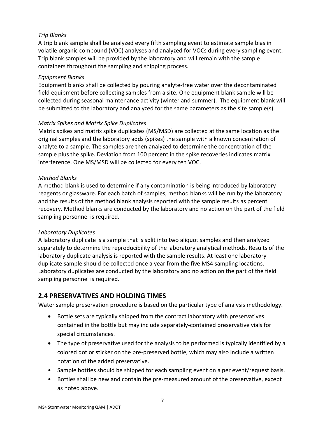#### *Trip Blanks*

A trip blank sample shall be analyzed every fifth sampling event to estimate sample bias in volatile organic compound (VOC) analyses and analyzed for VOCs during every sampling event. Trip blank samples will be provided by the laboratory and will remain with the sample containers throughout the sampling and shipping process.

#### *Equipment Blanks*

Equipment blanks shall be collected by pouring analyte-free water over the decontaminated field equipment before collecting samples from a site. One equipment blank sample will be collected during seasonal maintenance activity (winter and summer). The equipment blank will be submitted to the laboratory and analyzed for the same parameters as the site sample(s).

#### *Matrix Spikes and Matrix Spike Duplicates*

Matrix spikes and matrix spike duplicates (MS/MSD) are collected at the same location as the original samples and the laboratory adds (spikes) the sample with a known concentration of analyte to a sample. The samples are then analyzed to determine the concentration of the sample plus the spike. Deviation from 100 percent in the spike recoveries indicates matrix interference. One MS/MSD will be collected for every ten VOC.

#### *Method Blanks*

A method blank is used to determine if any contamination is being introduced by laboratory reagents or glassware. For each batch of samples, method blanks will be run by the laboratory and the results of the method blank analysis reported with the sample results as percent recovery. Method blanks are conducted by the laboratory and no action on the part of the field sampling personnel is required.

#### *Laboratory Duplicates*

A laboratory duplicate is a sample that is split into two aliquot samples and then analyzed separately to determine the reproducibility of the laboratory analytical methods. Results of the laboratory duplicate analysis is reported with the sample results. At least one laboratory duplicate sample should be collected once a year from the five MS4 sampling locations. Laboratory duplicates are conducted by the laboratory and no action on the part of the field sampling personnel is required.

## <span id="page-10-0"></span>**2.4 PRESERVATIVES AND HOLDING TIMES**

Water sample preservation procedure is based on the particular type of analysis methodology.

- Bottle sets are typically shipped from the contract laboratory with preservatives contained in the bottle but may include separately-contained preservative vials for special circumstances.
- The type of preservative used for the analysis to be performed is typically identified by a colored dot or sticker on the pre-preserved bottle, which may also include a written notation of the added preservative.
- Sample bottles should be shipped for each sampling event on a per event/request basis.
- Bottles shall be new and contain the pre-measured amount of the preservative, except as noted above.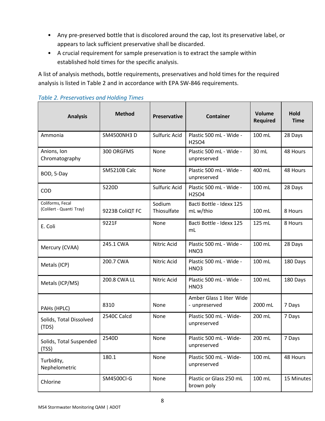- Any pre-preserved bottle that is discolored around the cap, lost its preservative label, or appears to lack sufficient preservative shall be discarded.
- A crucial requirement for sample preservation is to extract the sample within established hold times for the specific analysis.

A list of analysis methods, bottle requirements, preservatives and hold times for the required analysis is listed in Table 2 and in accordance with EPA SW-846 requirements.

| <b>Analysis</b>                              | <b>Method</b>   | <b>Preservative</b>             | <b>Container</b>                                          | Volume<br><b>Required</b> | Hold<br><b>Time</b> |
|----------------------------------------------|-----------------|---------------------------------|-----------------------------------------------------------|---------------------------|---------------------|
| Ammonia                                      | SM4500NH3 D     | Sulfuric Acid                   | Plastic 500 mL - Wide -<br>H <sub>2</sub> SO <sub>4</sub> | 100 mL                    | 28 Days             |
| Anions, Ion<br>Chromatography                | 300 ORGFMS      | None                            | 30 mL                                                     | 48 Hours                  |                     |
| BOD, 5-Day                                   | SM5210B Calc    | None                            | Plastic 500 mL - Wide -<br>unpreserved                    | 400 mL                    | 48 Hours            |
| COD                                          | 5220D           | Sulfuric Acid                   | Plastic 500 mL - Wide -<br>H2SO4                          | 100 mL                    | 28 Days             |
| Coliforms, Fecal<br>(Colilert - Quanti Tray) | 9223B ColiQT FC | 100 mL                          | 8 Hours                                                   |                           |                     |
| E. Coli                                      | 9221F           | None                            | Bacti Bottle - Idexx 125<br>mL                            | 125 mL                    | 8 Hours             |
| Mercury (CVAA)                               | 245.1 CWA       | Plastic 500 mL - Wide -<br>HNO3 | 100 mL                                                    | 28 Days                   |                     |
| Metals (ICP)                                 | 200.7 CWA       | Plastic 500 mL - Wide -<br>HNO3 | 100 mL                                                    | 180 Days                  |                     |
| Metals (ICP/MS)                              | 200.8 CWA LL    | Nitric Acid                     | Plastic 500 mL - Wide -<br>HNO3                           | 100 mL                    | 180 Days            |
| PAHs (HPLC)                                  | 8310            | 2000 mL                         | 7 Days                                                    |                           |                     |
| Solids, Total Dissolved<br>(TDS)             | 2540C Calcd     | 200 mL                          | 7 Days                                                    |                           |                     |
| Solids, Total Suspended<br>(TSS)             | 2540D           | None                            | Plastic 500 mL - Wide-<br>unpreserved                     | 200 mL                    | 7 Days              |
| Turbidity,<br>Nephelometric                  | 180.1           | None                            | Plastic 500 mL - Wide-<br>unpreserved                     | 100 mL                    | 48 Hours            |
| Chlorine                                     | SM4500Cl-G      | None                            | Plastic or Glass 250 mL<br>brown poly                     | 100 mL                    | 15 Minutes          |

#### *Table 2. Preservatives and Holding Times*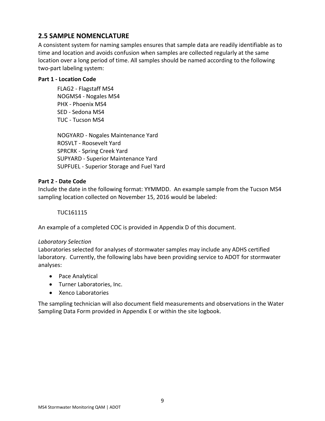## <span id="page-12-0"></span>**2.5 SAMPLE NOMENCLATURE**

A consistent system for naming samples ensures that sample data are readily identifiable as to time and location and avoids confusion when samples are collected regularly at the same location over a long period of time. All samples should be named according to the following two-part labeling system:

#### **Part 1 - Location Code**

FLAG2 - Flagstaff MS4 NOGMS4 - Nogales MS4 PHX - Phoenix MS4 SED - Sedona MS4 TUC - Tucson MS4

NOGYARD - Nogales Maintenance Yard ROSVLT - Roosevelt Yard SPRCRK - Spring Creek Yard SUPYARD - Superior Maintenance Yard SUPFUEL - Superior Storage and Fuel Yard

#### **Part 2 - Date Code**

Include the date in the following format: YYMMDD. An example sample from the Tucson MS4 sampling location collected on November 15, 2016 would be labeled:

#### TUC161115

An example of a completed COC is provided in Appendix D of this document.

#### *Laboratory Selection*

Laboratories selected for analyses of stormwater samples may include any ADHS certified laboratory. Currently, the following labs have been providing service to ADOT for stormwater analyses:

- Pace Analytical
- Turner Laboratories, Inc.
- Xenco Laboratories

The sampling technician will also document field measurements and observations in the Water Sampling Data Form provided in Appendix E or within the site logbook.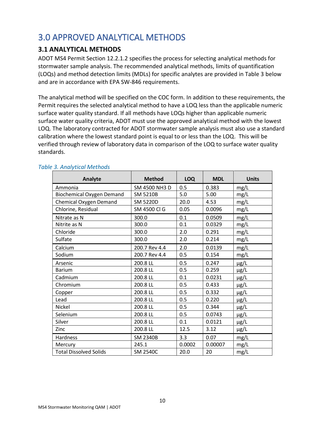## <span id="page-13-0"></span>3.0 APPROVED ANALYTICAL METHODS

### <span id="page-13-1"></span>**3.1 ANALYTICAL METHODS**

ADOT MS4 Permit Section 12.2.1.2 specifies the process for selecting analytical methods for stormwater sample analysis. The recommended analytical methods, limits of quantification (LOQs) and method detection limits (MDLs) for specific analytes are provided in Table 3 below and are in accordance with EPA SW-846 requirements.

The analytical method will be specified on the COC form. In addition to these requirements, the Permit requires the selected analytical method to have a LOQ less than the applicable numeric surface water quality standard. If all methods have LOQs higher than applicable numeric surface water quality criteria, ADOT must use the approved analytical method with the lowest LOQ. The laboratory contracted for ADOT stormwater sample analysis must also use a standard calibration where the lowest standard point is equal to or less than the LOQ. This will be verified through review of laboratory data in comparison of the LOQ to surface water quality standards.

| <b>Analyte</b>                   | <b>Method</b>   | <b>LOQ</b> | <b>MDL</b> | <b>Units</b> |
|----------------------------------|-----------------|------------|------------|--------------|
| Ammonia                          | SM 4500 NH3 D   | 0.5        | 0.383      | mg/L         |
| <b>Biochemical Oxygen Demand</b> | <b>SM 5210B</b> | 5.0        | 5.00       | mg/L         |
| Chemical Oxygen Demand           | <b>SM 5220D</b> | 20.0       | 4.53       | mg/L         |
| Chlorine, Residual               | SM 4500 Cl G    | 0.05       | 0.0096     | mg/L         |
| Nitrate as N                     | 300.0           | 0.1        | 0.0509     | mg/L         |
| Nitrite as N                     | 300.0           | 0.1        | 0.0329     | mg/L         |
| Chloride                         | 300.0           | 2.0        | 0.291      | mg/L         |
| Sulfate                          | 300.0           | 2.0        | 0.214      | mg/L         |
| Calcium                          | 200.7 Rev 4.4   | 2.0        | 0.0139     | mg/L         |
| Sodium                           | 200.7 Rev 4.4   | 0.5        | 0.154      | mg/L         |
| Arsenic                          | 200.8 LL        | 0.5        | 0.247      | $\mu$ g/L    |
| <b>Barium</b>                    | 200.8 LL        | 0.5        | 0.259      | $\mu$ g/L    |
| Cadmium                          | 200.8 LL        | 0.1        | 0.0231     | $\mu$ g/L    |
| Chromium                         | 200.8 LL        | 0.5        | 0.433      | $\mu$ g/L    |
| Copper                           | 200.8 LL        | 0.5        | 0.332      | $\mu$ g/L    |
| Lead                             | 200.8 LL        | 0.5        | 0.220      | $\mu$ g/L    |
| Nickel                           | 200.8 LL        | 0.5        | 0.344      | $\mu$ g/L    |
| Selenium                         | 200.8 LL        | 0.5        | 0.0743     | µg/L         |
| Silver                           | 200.8 LL        | 0.1        | 0.0121     | $\mu$ g/L    |
| Zinc                             | 200.8 LL        | 12.5       | 3.12       | µg/L         |
| Hardness                         | <b>SM 2340B</b> | 3.3        | 0.07       | mg/L         |
| Mercury                          | 245.1           | 0.0002     | 0.00007    | mg/L         |
| <b>Total Dissolved Solids</b>    | <b>SM 2540C</b> | 20.0       | 20         | mg/L         |

#### *Table 3. Analytical Methods*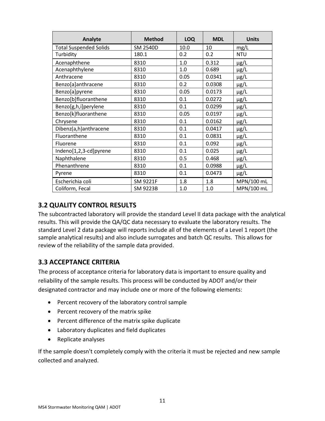| Analyte                       | <b>Method</b>   | <b>LOQ</b> | <b>MDL</b> | <b>Units</b> |  |  |
|-------------------------------|-----------------|------------|------------|--------------|--|--|
| <b>Total Suspended Solids</b> | <b>SM 2540D</b> | 10.0       | 10         | mg/L         |  |  |
| Turbidity                     | 180.1           | 0.2        | 0.2        | <b>NTU</b>   |  |  |
| Acenaphthene                  | 8310            | 1.0        | 0.312      | $\mu$ g/L    |  |  |
| Acenaphthylene                | 8310            | 1.0        | 0.689      | $\mu$ g/L    |  |  |
| Anthracene                    | 8310            | 0.05       | 0.0341     | $\mu$ g/L    |  |  |
| Benzo[a]anthracene            | 8310            | 0.2        | 0.0308     | µg/L         |  |  |
| Benzo[a]pyrene                | 8310            | 0.05       | 0.0173     | $\mu$ g/L    |  |  |
| Benzo[b]fluoranthene          | 8310            | 0.1        | 0.0272     | $\mu$ g/L    |  |  |
| Benzo[g,h,i]perylene          | 8310            | 0.1        | 0.0299     | $\mu$ g/L    |  |  |
| Benzo[k]fluoranthene          | 8310            | 0.05       | 0.0197     | $\mu$ g/L    |  |  |
| Chrysene                      | 8310            | 0.1        | 0.0162     | $\mu$ g/L    |  |  |
| Dibenz(a,h)anthracene         | 8310            | 0.1        | 0.0417     | $\mu$ g/L    |  |  |
| Fluoranthene                  | 8310            | 0.1        | 0.0831     | $\mu$ g/L    |  |  |
| Fluorene                      | 8310            | 0.1        | 0.092      | $\mu$ g/L    |  |  |
| Indeno[1,2,3-cd]pyrene        | 8310            | 0.1        | 0.025      | $\mu$ g/L    |  |  |
| Naphthalene                   | 8310            | 0.5        | 0.468      | $\mu$ g/L    |  |  |
| Phenanthrene                  | 8310            | 0.1        | 0.0988     | $\mu$ g/L    |  |  |
| Pyrene                        | 8310            | 0.1        | 0.0473     | $\mu$ g/L    |  |  |
| Escherichia coli              | SM 9221F        | 1.8        | 1.8        | MPN/100 mL   |  |  |
| Coliform, Fecal               | SM 9223B        | 1.0        | 1.0        | MPN/100 mL   |  |  |

## <span id="page-14-0"></span>**3.2 QUALITY CONTROL RESULTS**

The subcontracted laboratory will provide the standard Level II data package with the analytical results. This will provide the QA/QC data necessary to evaluate the laboratory results. The standard Level 2 data package will reports include all of the elements of a Level 1 report (the sample analytical results) and also include surrogates and batch QC results. This allows for review of the reliability of the sample data provided.

## <span id="page-14-1"></span>**3.3 ACCEPTANCE CRITERIA**

The process of acceptance criteria for laboratory data is important to ensure quality and reliability of the sample results. This process will be conducted by ADOT and/or their designated contractor and may include one or more of the following elements:

- Percent recovery of the laboratory control sample
- Percent recovery of the matrix spike
- Percent difference of the matrix spike duplicate
- Laboratory duplicates and field duplicates
- Replicate analyses

If the sample doesn't completely comply with the criteria it must be rejected and new sample collected and analyzed.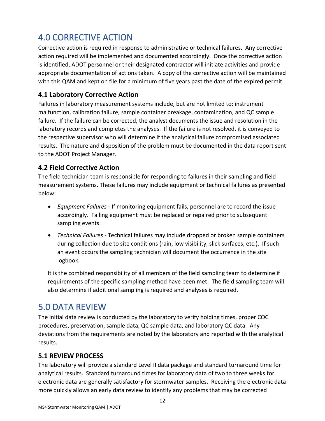## <span id="page-15-0"></span>4.0 CORRECTIVE ACTION

Corrective action is required in response to administrative or technical failures. Any corrective action required will be implemented and documented accordingly. Once the corrective action is identified, ADOT personnel or their designated contractor will initiate activities and provide appropriate documentation of actions taken. A copy of the corrective action will be maintained with this QAM and kept on file for a minimum of five years past the date of the expired permit.

## <span id="page-15-1"></span>**4.1 Laboratory Corrective Action**

Failures in laboratory measurement systems include, but are not limited to: instrument malfunction, calibration failure, sample container breakage, contamination, and QC sample failure. If the failure can be corrected, the analyst documents the issue and resolution in the laboratory records and completes the analyses. If the failure is not resolved, it is conveyed to the respective supervisor who will determine if the analytical failure compromised associated results. The nature and disposition of the problem must be documented in the data report sent to the ADOT Project Manager.

## <span id="page-15-2"></span>**4.2 Field Corrective Action**

The field technician team is responsible for responding to failures in their sampling and field measurement systems. These failures may include equipment or technical failures as presented below:

- *Equipment Failures* If monitoring equipment fails, personnel are to record the issue accordingly. Failing equipment must be replaced or repaired prior to subsequent sampling events.
- *Technical Failures* Technical failures may include dropped or broken sample containers during collection due to site conditions (rain, low visibility, slick surfaces, etc.). If such an event occurs the sampling technician will document the occurrence in the site logbook.

It is the combined responsibility of all members of the field sampling team to determine if requirements of the specific sampling method have been met. The field sampling team will also determine if additional sampling is required and analyses is required.

## <span id="page-15-3"></span>5.0 DATA REVIEW

The initial data review is conducted by the laboratory to verify holding times, proper COC procedures, preservation, sample data, QC sample data, and laboratory QC data. Any deviations from the requirements are noted by the laboratory and reported with the analytical results.

## <span id="page-15-4"></span>**5.1 REVIEW PROCESS**

The laboratory will provide a standard Level II data package and standard turnaround time for analytical results. Standard turnaround times for laboratory data of two to three weeks for electronic data are generally satisfactory for stormwater samples. Receiving the electronic data more quickly allows an early data review to identify any problems that may be corrected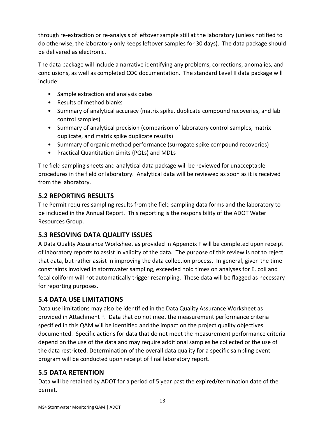through re-extraction or re-analysis of leftover sample still at the laboratory (unless notified to do otherwise, the laboratory only keeps leftover samples for 30 days). The data package should be delivered as electronic.

The data package will include a narrative identifying any problems, corrections, anomalies, and conclusions, as well as completed COC documentation. The standard Level II data package will include:

- Sample extraction and analysis dates
- Results of method blanks
- Summary of analytical accuracy (matrix spike, duplicate compound recoveries, and lab control samples)
- Summary of analytical precision (comparison of laboratory control samples, matrix duplicate, and matrix spike duplicate results)
- Summary of organic method performance (surrogate spike compound recoveries)
- Practical Quantitation Limits (PQLs) and MDLs

The field sampling sheets and analytical data package will be reviewed for unacceptable procedures in the field or laboratory. Analytical data will be reviewed as soon as it is received from the laboratory.

## <span id="page-16-0"></span>**5.2 REPORTING RESULTS**

The Permit requires sampling results from the field sampling data forms and the laboratory to be included in the Annual Report. This reporting is the responsibility of the ADOT Water Resources Group.

## <span id="page-16-1"></span>**5.3 RESOVING DATA QUALITY ISSUES**

A Data Quality Assurance Worksheet as provided in Appendix F will be completed upon receipt of laboratory reports to assist in validity of the data. The purpose of this review is not to reject that data, but rather assist in improving the data collection process. In general, given the time constraints involved in stormwater sampling, exceeded hold times on analyses for E. coli and fecal coliform will not automatically trigger resampling. These data will be flagged as necessary for reporting purposes.

## <span id="page-16-2"></span>**5.4 DATA USE LIMITATIONS**

Data use limitations may also be identified in the Data Quality Assurance Worksheet as provided in Attachment F. Data that do not meet the measurement performance criteria specified in this QAM will be identified and the impact on the project quality objectives documented. Specific actions for data that do not meet the measurement performance criteria depend on the use of the data and may require additional samples be collected or the use of the data restricted. Determination of the overall data quality for a specific sampling event program will be conducted upon receipt of final laboratory report.

## <span id="page-16-3"></span>**5.5 DATA RETENTION**

Data will be retained by ADOT for a period of 5 year past the expired/termination date of the permit.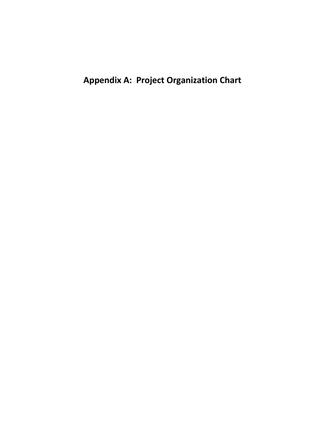**Appendix A: Project Organization Chart**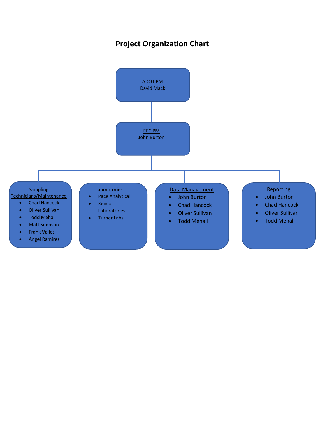## **Project Organization Chart**

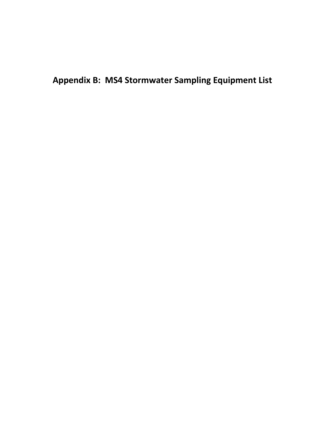**Appendix B: MS4 Stormwater Sampling Equipment List**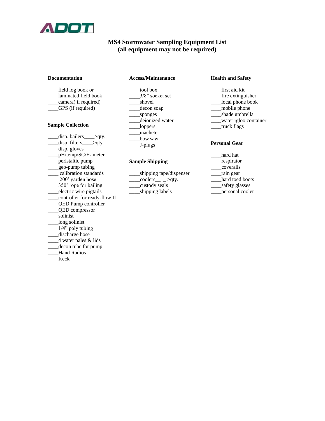

#### **MS4 Stormwater Sampling Equipment List (all equipment may not be required)**

#### **Documentation**

| field log book or    |
|----------------------|
| laminated field book |
| camera(if required)  |

\_\_\_\_GPS (if required)

#### **Sample Collection**

- \_disp. bailers\_\_\_\_>qty.  $\frac{1}{\text{disp. filters}}$   $\frac{1}{\text{gdy.}}$ \_\_\_\_disp. gloves  $\angle$ pH/temp/SC/E<sub>h</sub> meter \_\_\_\_peristaltic pump \_\_\_\_geo-pump tubing \_\_\_\_ calibration standards \_\_\_\_ 200' garden hose \_\_\_\_350' rope for bailing \_\_\_\_electric wire pigtails \_\_\_\_controller for ready-flow II \_\_\_\_QED Pump controller \_\_\_\_QED compressor \_\_\_\_solinist \_\_\_\_long solinist 1/4" poly tubing \_\_\_\_discharge hose \_\_\_\_4 water pales & lids \_\_\_\_decon tube for pump Hand Radios
- \_\_\_\_Keck

#### **Access/Maintenance**

- \_\_\_\_tool box \_\_\_\_3/8" socket set \_shovel \_\_\_\_decon soap \_\_\_\_sponges \_\_\_\_deionized water \_\_\_\_loppers
- \_\_\_\_machete
- \_\_\_\_bow saw
- \_\_\_\_J-plugs

#### **Sample Shipping**

| shipping tape/dispenser |
|-------------------------|
| coolers_ $1$ >qty.      |
| custody seals           |
| shipping labels         |

#### **Health and Safety**

\_\_\_\_first aid kit \_\_\_\_fire extinguisher \_\_\_\_local phone book \_\_\_\_mobile phone \_\_\_\_shade umbrella \_\_\_\_water igloo container \_\_\_\_truck flags

#### **Personal Gear**

- \_\_\_\_hard hat \_respirator \_\_\_\_coveralls \_\_\_\_rain gear hard toed boots \_\_\_\_safety glasses
- \_\_\_\_personal cooler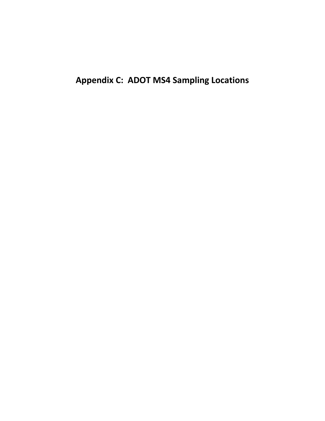**Appendix C: ADOT MS4 Sampling Locations**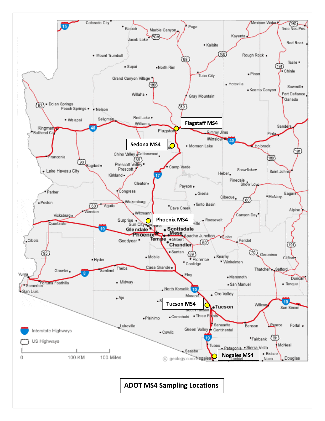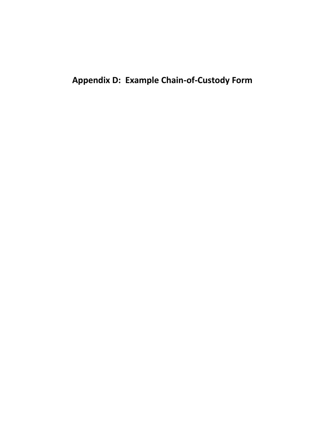**Appendix D: Example Chain-of-Custody Form**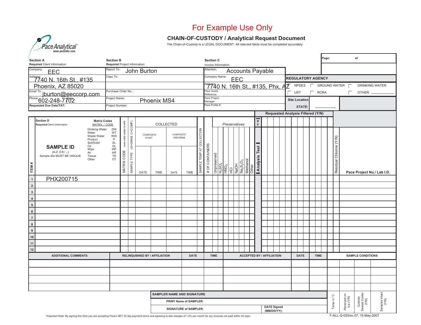## For Example Use Only

#### **CHAIN-OF-CUSTODY / Analytical Request Document**

The Chain-of-Custody is a LEGAL DOCUMENT. All relevant fields must be completed accurately.

| <b>Section A</b>                                                                           | <b>Section B</b>                                           |                           |                 |                           | <b>Section C</b>                                                     |                               |      |                           |                 |                                                                     |  | Page:<br>of   |             |                                                                    |                                                                |                                   |                                          |  |   |                      |        |    |             |  |                          |                                   |                         |                            |
|--------------------------------------------------------------------------------------------|------------------------------------------------------------|---------------------------|-----------------|---------------------------|----------------------------------------------------------------------|-------------------------------|------|---------------------------|-----------------|---------------------------------------------------------------------|--|---------------|-------------|--------------------------------------------------------------------|----------------------------------------------------------------|-----------------------------------|------------------------------------------|--|---|----------------------|--------|----|-------------|--|--------------------------|-----------------------------------|-------------------------|----------------------------|
| Required Client Information:<br>Company:                                                   | Required Project Information:<br>Report To:                |                           |                 |                           | Invoice Information:<br>Attention:                                   |                               |      |                           |                 |                                                                     |  |               |             |                                                                    |                                                                |                                   |                                          |  |   |                      |        |    |             |  |                          |                                   |                         |                            |
| EEC                                                                                        | Copy To:                                                   |                           |                 | John Burton               | <b>Accounts Payable</b><br>Company Name:<br><b>REGULATORY AGENCY</b> |                               |      |                           |                 |                                                                     |  |               |             |                                                                    |                                                                |                                   |                                          |  |   |                      |        |    |             |  |                          |                                   |                         |                            |
| Address: 40 N. 16th St., #135                                                              |                                                            |                           |                 |                           |                                                                      |                               |      |                           |                 |                                                                     |  |               | <b>EEC</b>  |                                                                    |                                                                |                                   |                                          |  |   |                      |        |    |             |  |                          |                                   |                         |                            |
| Phoenix, AZ 85020                                                                          |                                                            |                           |                 |                           |                                                                      |                               |      |                           | ace Quote       |                                                                     |  |               |             |                                                                    |                                                                |                                   |                                          |  | 7 | <b>NPDES</b>         |        | F  |             |  |                          | GROUND WATER <b>F</b>             |                         | <b>DRINKING WATER</b>      |
| Email To: jburton@eeccorp.com<br>Phone:602-248-7702                                        | Purchase Order No.:                                        |                           |                 |                           |                                                                      |                               |      |                           | Reference:      | ace Project                                                         |  |               |             |                                                                    |                                                                |                                   |                                          |  |   | <b>UST</b>           |        | D. | <b>RCRA</b> |  |                          | П                                 | OTHER _                 |                            |
|                                                                                            | Project Name:                                              |                           |                 |                           | Phoenix MS4                                                          |                               |      |                           | Manager:        |                                                                     |  |               |             |                                                                    |                                                                |                                   |                                          |  |   | <b>Site Location</b> |        |    |             |  |                          |                                   |                         |                            |
| <b>Requested Due Date/TAT:</b>                                                             | Project Number:                                            |                           |                 |                           |                                                                      |                               |      |                           |                 | Pace Profile #                                                      |  |               |             |                                                                    |                                                                |                                   |                                          |  |   |                      | STATE: |    |             |  |                          |                                   |                         |                            |
|                                                                                            |                                                            |                           |                 |                           |                                                                      |                               |      |                           |                 |                                                                     |  |               |             |                                                                    |                                                                |                                   | <b>Requested Analysis Filtered (Y/N)</b> |  |   |                      |        |    |             |  |                          |                                   |                         |                            |
| Section D<br><b>Matrix Codes</b><br>MATRIX / CODE<br>Required Client Information           |                                                            |                           |                 |                           |                                                                      | COLLECTED                     |      |                           |                 |                                                                     |  | Preservatives |             |                                                                    | VNU                                                            |                                   |                                          |  |   |                      |        |    |             |  |                          |                                   |                         |                            |
| Drinking Water<br>Water<br>Waste Water<br>Product<br>Soil/Solid<br>Oil<br><b>SAMPLE ID</b> | <b>DW</b><br>WT<br><b>WW</b><br>P<br><b>SL</b><br>OL<br>WP | (see valid codes to left) | (G=GRAB C=COMP) | COMPOSITE<br><b>START</b> |                                                                      | COMPOSITE<br>END/GRAB         |      |                           |                 |                                                                     |  |               |             |                                                                    |                                                                |                                   |                                          |  |   |                      |        |    |             |  |                          |                                   |                         |                            |
| Wipe<br>$(A-Z, 0-9/,-)$<br>Air<br>Sample IDs MUST BE UNIQUE<br>Tissue<br>Other<br>ITEM#    | ${\sf AR}$<br>${\tt TS}$<br>OT                             | CODE<br>MATRIX            | SAMPLE TYPE     | DATE                      | <b>TIME</b>                                                          | DATE                          | TIME | SAMPLE TEMP AT COLLECTION | # OF CONTAINERS | $\frac{\text{Unpreserved}}{\text{H}_2\text{SO}_4}$ HNO <sub>3</sub> |  |               | HCI<br>NaOH | Na <sub>2</sub> S <sub>2</sub> O <sub>3</sub><br>Methanol<br>Other | Analysis Test !                                                |                                   |                                          |  |   |                      |        |    |             |  | Residual Chlorine (Y/N)  |                                   |                         | Pace Project No./ Lab I.D. |
| $\overline{1}$<br>PHX200715                                                                |                                                            |                           |                 |                           |                                                                      |                               |      |                           |                 |                                                                     |  |               |             |                                                                    |                                                                |                                   |                                          |  |   |                      |        |    |             |  |                          |                                   |                         |                            |
| $\overline{\mathbf{c}}$                                                                    |                                                            |                           |                 |                           |                                                                      |                               |      |                           |                 |                                                                     |  |               |             |                                                                    |                                                                |                                   |                                          |  |   |                      |        |    |             |  |                          |                                   |                         |                            |
| $\overline{\mathbf{3}}$                                                                    |                                                            |                           |                 |                           |                                                                      |                               |      |                           |                 |                                                                     |  |               |             |                                                                    |                                                                |                                   |                                          |  |   |                      |        |    |             |  |                          |                                   |                         |                            |
| $\pmb{4}$                                                                                  |                                                            |                           |                 |                           |                                                                      |                               |      |                           |                 |                                                                     |  |               |             |                                                                    |                                                                |                                   |                                          |  |   |                      |        |    |             |  |                          |                                   |                         |                            |
| $\overline{\phantom{a}}$                                                                   |                                                            |                           |                 |                           |                                                                      |                               |      |                           |                 |                                                                     |  |               |             |                                                                    |                                                                |                                   |                                          |  |   |                      |        |    |             |  |                          |                                   |                         |                            |
| $\overline{\phantom{a}}$                                                                   |                                                            |                           |                 |                           |                                                                      |                               |      |                           |                 |                                                                     |  |               |             |                                                                    |                                                                |                                   |                                          |  |   |                      |        |    |             |  |                          |                                   |                         |                            |
| $\overline{7}$                                                                             |                                                            |                           |                 |                           |                                                                      |                               |      |                           |                 |                                                                     |  |               |             |                                                                    |                                                                |                                   |                                          |  |   |                      |        |    |             |  |                          |                                   |                         |                            |
| $\overline{\mathbf{8}}$                                                                    |                                                            |                           |                 |                           |                                                                      |                               |      |                           |                 |                                                                     |  |               |             |                                                                    |                                                                |                                   |                                          |  |   |                      |        |    |             |  |                          |                                   |                         |                            |
| $\overline{9}$                                                                             |                                                            |                           |                 |                           |                                                                      |                               |      |                           |                 |                                                                     |  |               |             |                                                                    |                                                                |                                   |                                          |  |   |                      |        |    |             |  |                          |                                   |                         |                            |
| $10$                                                                                       |                                                            |                           |                 |                           |                                                                      |                               |      |                           |                 |                                                                     |  |               |             |                                                                    |                                                                |                                   |                                          |  |   |                      |        |    |             |  |                          |                                   |                         |                            |
| 11                                                                                         |                                                            |                           |                 |                           |                                                                      |                               |      |                           |                 |                                                                     |  |               |             |                                                                    |                                                                |                                   |                                          |  |   |                      |        |    |             |  |                          |                                   |                         |                            |
| $12$                                                                                       |                                                            |                           |                 |                           |                                                                      |                               |      |                           |                 |                                                                     |  |               |             |                                                                    |                                                                |                                   |                                          |  |   |                      |        |    |             |  |                          |                                   |                         |                            |
| <b>ADDITIONAL COMMENTS</b>                                                                 |                                                            |                           |                 |                           | <b>RELINQUISHED BY / AFFILIATION</b>                                 | <b>DATE</b>                   |      |                           | <b>TIME</b>     |                                                                     |  |               |             |                                                                    | <b>ACCEPTED BY / AFFILIATION</b><br><b>DATE</b><br><b>TIME</b> |                                   |                                          |  |   |                      |        |    |             |  | <b>SAMPLE CONDITIONS</b> |                                   |                         |                            |
|                                                                                            |                                                            |                           |                 |                           |                                                                      |                               |      |                           |                 |                                                                     |  |               |             |                                                                    |                                                                |                                   |                                          |  |   |                      |        |    |             |  |                          |                                   |                         |                            |
|                                                                                            |                                                            |                           |                 |                           |                                                                      |                               |      |                           |                 |                                                                     |  |               |             |                                                                    |                                                                |                                   |                                          |  |   |                      |        |    |             |  |                          |                                   |                         |                            |
|                                                                                            |                                                            |                           |                 |                           |                                                                      |                               |      |                           |                 |                                                                     |  |               |             |                                                                    |                                                                |                                   |                                          |  |   |                      |        |    |             |  |                          |                                   |                         |                            |
|                                                                                            |                                                            |                           |                 |                           |                                                                      |                               |      |                           |                 |                                                                     |  |               |             |                                                                    |                                                                |                                   |                                          |  |   |                      |        |    |             |  |                          |                                   |                         |                            |
|                                                                                            |                                                            |                           |                 |                           |                                                                      | SAMPLER NAME AND SIGNATURE    |      |                           |                 |                                                                     |  |               |             |                                                                    |                                                                |                                   |                                          |  |   |                      |        |    |             |  |                          |                                   |                         |                            |
|                                                                                            |                                                            |                           |                 |                           |                                                                      | <b>PRINT Name of SAMPLER:</b> |      |                           |                 |                                                                     |  |               |             |                                                                    |                                                                |                                   |                                          |  |   |                      |        |    |             |  | Temp in °C               | Received on<br>Ice (Y/N)          |                         |                            |
|                                                                                            |                                                            |                           |                 |                           |                                                                      | <b>SIGNATURE of SAMPLER:</b>  |      |                           |                 |                                                                     |  |               |             |                                                                    |                                                                | <b>DATE Signed</b><br>(MM/DD/YY): |                                          |  |   |                      |        |    |             |  |                          | Custody<br>Sealed Cooler<br>(Y/N) | Samples Intact<br>(Y/N) |                            |

\*Important Note: By signing this form you are accepting Pace's NET 30 day payment terms and agreeing to late charges of 1.5% per month for any invoices not paid within 30 days. F-ALL-Q-020rev.07, 15-May-2007

®

**www.pacelabs.com**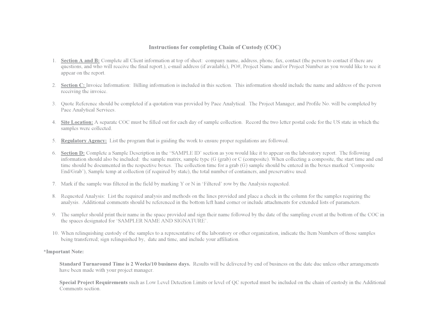#### **Instructions for completing Chain of Custody (COC)**

- 1. **Section A and B:** Complete all Client information at top of sheet: company name, address, phone, fax, contact (the person to contact if there are questions, and who will receive the final report.), e-mail address (if available), PO#, Project Name and/or Project Number as you would like to see it appear on the report.
- 2. **Section C:** Invoice Information: Billing information is included in this section. This information should include the name and address of the person receiving the invoice.
- 3. Quote Reference should be completed if a quotation was provided by Pace Analytical. The Project Manager, and Profile No. will be completed by Pace Analytical Services.
- 4. **Site Location:** A separate COC must be filled out for each day of sample collection. Record the two letter postal code for the US state in which the samples were collected.
- 5. **Regulatory Agency:** List the program that is guiding the work to ensure proper regulations are followed.
- 6. **Section D:** Complete a Sample Description in the "SAMPLE ID' section as you would like it to appear on the laboratory report. The following information should also be included: the sample matrix, sample type (G (grab) or C (composite). When collecting a composite, the start time and end time should be documented in the respective boxes. The collection time for a grab (G) sample should be entered in the boxes marked 'Composite End/Grab'), Sample temp at collection (if required by state), the total number of containers, and preservative used.
- 7. Mark if the sample was filtered in the field by marking Y or N in 'Filtered' row by the Analysis requested.
- 8. Requested Analysis: List the required analysis and methods on the lines provided and place a check in the column for the samples requiring the analysis. Additional comments should be referenced in the bottom left hand corner or include attachments for extended lists of parameters.
- 9. The sampler should print their name in the space provided and sign their name followed by the date of the sampling event at the bottom of the COC in the spaces designated for 'SAMPLER NAME AND SIGNATURE'.
- 10. When relinquishing custody of the samples to a representative of the laboratory or other organization, indicate the Item Numbers of those samples being transferred; sign relinquished by, date and time, and include your affiliation.

#### **\*Important Note:**

**Standard Turnaround Time is 2 Weeks/10 business days.** Results will be delivered by end of business on the date due unless other arrangements have been made with your project manager.

**Special Project Requirements** such as Low Level Detection Limits or level of QC reported must be included on the chain of custody in the Additional Comments section.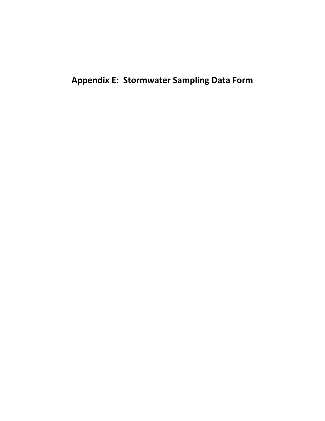**Appendix E: Stormwater Sampling Data Form**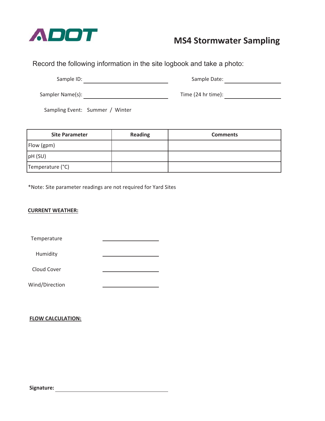

## **MS4 Stormwater Sampling**

Record the following information in the site logbook and take a photo:

Sample ID:

Sample Date:

Sampler Name(s):

Time (24 hr time):

Sampling Event: Summer / Winter

| <b>Site Parameter</b> | <b>Reading</b> | <b>Comments</b> |
|-----------------------|----------------|-----------------|
| Flow (gpm)            |                |                 |
| pH(SU)                |                |                 |
| Temperature (°C)      |                |                 |

\*Note: Site parameter readings are not required for Yard Sites

#### **CURRENT WEATHER:**

Temperature

Humidity

Cloud Cover

Wind/Direction

#### **FLOW CALCULATION:**

**Signature:**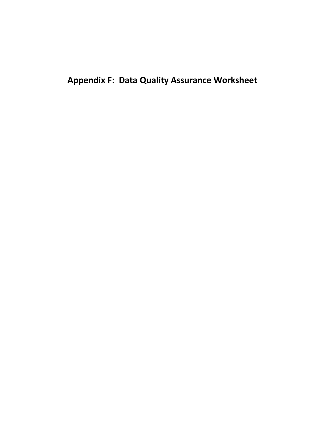**Appendix F: Data Quality Assurance Worksheet**